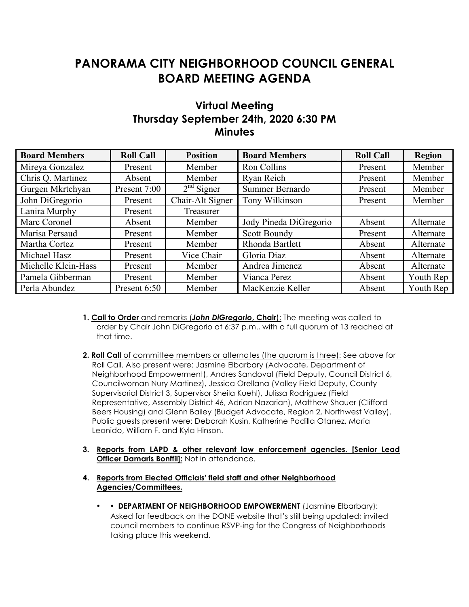## **PANORAMA CITY NEIGHBORHOOD COUNCIL GENERAL BOARD MEETING AGENDA**

## **Virtual Meeting Thursday September 24th, 2020 6:30 PM Minutes**

| <b>Board Members</b> | <b>Roll Call</b> | <b>Position</b>  | <b>Board Members</b>   | <b>Roll Call</b> | <b>Region</b> |
|----------------------|------------------|------------------|------------------------|------------------|---------------|
| Mireya Gonzalez      | Present          | Member           | Ron Collins            | Present          | Member        |
| Chris Q. Martinez    | Absent           | Member           | Ryan Reich             | Present          | Member        |
| Gurgen Mkrtchyan     | Present 7:00     | $2nd$ Signer     | Summer Bernardo        | Present          | Member        |
| John DiGregorio      | Present          | Chair-Alt Signer | Tony Wilkinson         | Present          | Member        |
| Lanira Murphy        | Present          | Treasurer        |                        |                  |               |
| Marc Coronel         | Absent           | Member           | Jody Pineda DiGregorio | Absent           | Alternate     |
| Marisa Persaud       | Present          | Member           | <b>Scott Boundy</b>    | Present          | Alternate     |
| Martha Cortez        | Present          | Member           | Rhonda Bartlett        | Absent           | Alternate     |
| Michael Hasz         | Present          | Vice Chair       | Gloria Diaz            | Absent           | Alternate     |
| Michelle Klein-Hass  | Present          | Member           | Andrea Jimenez         | Absent           | Alternate     |
| Pamela Gibberman     | Present          | Member           | Vianca Perez           | Absent           | Youth Rep     |
| Perla Abundez        | Present 6:50     | Member           | MacKenzie Keller       | Absent           | Youth Rep     |

- **1. Call to Order** and remarks (*John DiGregorio***, Chair**): The meeting was called to order by Chair John DiGregorio at 6:37 p.m., with a full quorum of 13 reached at that time.
- **2. Roll Call** of committee members or alternates (the quorum is three): See above for Roll Call. Also present were: Jasmine Elbarbary (Advocate, Department of Neighborhood Empowerment), Andres Sandoval (Field Deputy, Council District 6, Councilwoman Nury Martinez), Jessica Orellana (Valley Field Deputy, County Supervisorial District 3, Supervisor Sheila Kuehl), Julissa Rodriguez (Field Representative, Assembly District 46, Adrian Nazarian), Matthew Shauer (Clifford Beers Housing) and Glenn Bailey (Budget Advocate, Region 2, Northwest Valley). Public guests present were: Deborah Kusin, Katherine Padilla Otanez, Maria Leonido, William F. and Kyla Hinson.
- **3. Reports from LAPD & other relevant law enforcement agencies. [Senior Lead Officer Damaris Bonffil]:** Not in attendance.

## **4. Reports from Elected Officials' field staff and other Neighborhood Agencies/Committees.**

• • **DEPARTMENT OF NEIGHBORHOOD EMPOWERMENT** (Jasmine Elbarbary): Asked for feedback on the DONE website that's still being updated; invited council members to continue RSVP-ing for the Congress of Neighborhoods taking place this weekend.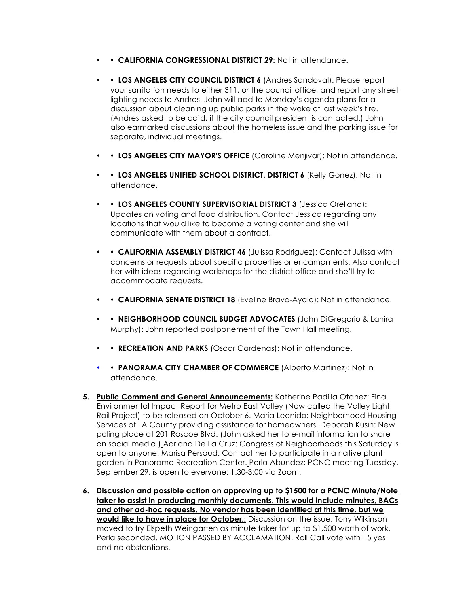- • **CALIFORNIA CONGRESSIONAL DISTRICT 29:** Not in attendance.
- • LOS ANGELES CITY COUNCIL DISTRICT 6 (Andres Sandoval): Please report your sanitation needs to either 311, or the council office, and report any street lighting needs to Andres. John will add to Monday's agenda plans for a discussion about cleaning up public parks in the wake of last week's fire. (Andres asked to be cc'd, if the city council president is contacted.) John also earmarked discussions about the homeless issue and the parking issue for separate, individual meetings.
- • **LOS ANGELES CITY MAYOR'S OFFICE** (Caroline Menjivar): Not in attendance.
- • **LOS ANGELES UNIFIED SCHOOL DISTRICT, DISTRICT 6** (Kelly Gonez): Not in attendance.
- • **LOS ANGELES COUNTY SUPERVISORIAL DISTRICT 3** (Jessica Orellana): Updates on voting and food distribution. Contact Jessica regarding any locations that would like to become a voting center and she will communicate with them about a contract.
- • **CALIFORNIA ASSEMBLY DISTRICT 46** (Julissa Rodriguez): Contact Julissa with concerns or requests about specific properties or encampments. Also contact her with ideas regarding workshops for the district office and she'll try to accommodate requests.
- • **CALIFORNIA SENATE DISTRICT 18** (Eveline Bravo-Ayala): Not in attendance.
- • **NEIGHBORHOOD COUNCIL BUDGET ADVOCATES** (John DiGregorio & Lanira Murphy): John reported postponement of the Town Hall meeting.
- • **RECREATION AND PARKS** (Oscar Cardenas): Not in attendance.
- **• PANORAMA CITY CHAMBER OF COMMERCE** (Alberto Martinez): Not in attendance.
- **5. Public Comment and General Announcements:** Katherine Padilla Otanez: Final Environmental Impact Report for Metro East Valley (Now called the Valley Light Rail Project) to be released on October 6. Maria Leonido: Neighborhood Housing Services of LA County providing assistance for homeowners. Deborah Kusin: New poling place at 201 Roscoe Blvd. (John asked her to e-mail information to share on social media.) Adriana De La Cruz: Congress of Neighborhoods this Saturday is open to anyone. Marisa Persaud: Contact her to participate in a native plant garden in Panorama Recreation Center. Perla Abundez: PCNC meeting Tuesday, September 29, is open to everyone: 1:30-3:00 via Zoom.
- **6. Discussion and possible action on approving up to \$1500 for a PCNC Minute/Note taker to assist in producing monthly documents. This would include minutes, BACs and other ad-hoc requests. No vendor has been identified at this time, but we would like to have in place for October.:** Discussion on the issue. Tony Wilkinson moved to try Elspeth Weingarten as minute taker for up to \$1,500 worth of work. Perla seconded. MOTION PASSED BY ACCLAMATION. Roll Call vote with 15 yes and no abstentions.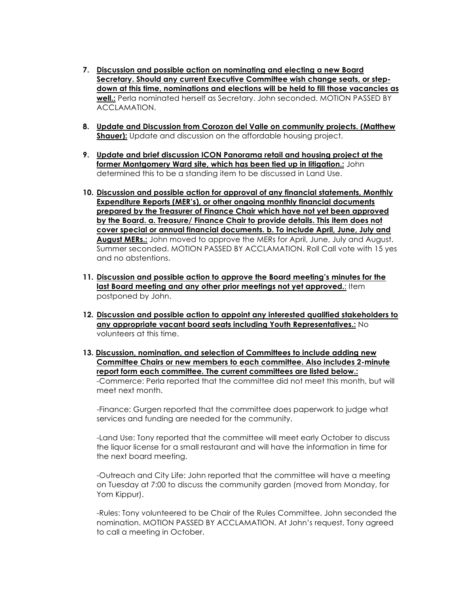- **7. Discussion and possible action on nominating and electing a new Board Secretary. Should any current Executive Committee wish change seats, or stepdown at this time, nominations and elections will be held to fill those vacancies as well.:** Perla nominated herself as Secretary. John seconded. MOTION PASSED BY ACCLAMATION.
- **8. Update and Discussion from Corozon del Valle on community projects. (Matthew Shauer):** Update and discussion on the affordable housing project.
- **9. Update and brief discussion ICON Panorama retail and housing project at the former Montgomery Ward site, which has been tied up in litigation.:** John determined this to be a standing item to be discussed in Land Use.
- **10. Discussion and possible action for approval of any financial statements, Monthly Expenditure Reports (MER's), or other ongoing monthly financial documents prepared by the Treasurer of Finance Chair which have not yet been approved by the Board. a. Treasure/ Finance Chair to provide details. This item does not cover special or annual financial documents. b. To include April, June, July and August MERs.:** John moved to approve the MERs for April, June, July and August. Summer seconded. MOTION PASSED BY ACCLAMATION. Roll Call vote with 15 yes and no abstentions.
- **11. Discussion and possible action to approve the Board meeting's minutes for the last Board meeting and any other prior meetings not yet approved.:** Item postponed by John.
- **12. Discussion and possible action to appoint any interested qualified stakeholders to any appropriate vacant board seats including Youth Representatives.:** No volunteers at this time.
- **13. Discussion, nomination, and selection of Committees to include adding new Committee Chairs or new members to each committee. Also includes 2-minute report form each committee. The current committees are listed below.:** -Commerce: Perla reported that the committee did not meet this month, but will meet next month.

-Finance: Gurgen reported that the committee does paperwork to judge what services and funding are needed for the community.

-Land Use: Tony reported that the committee will meet early October to discuss the liquor license for a small restaurant and will have the information in time for the next board meeting.

-Outreach and City Life: John reported that the committee will have a meeting on Tuesday at 7:00 to discuss the community garden (moved from Monday, for Yom Kippur).

-Rules: Tony volunteered to be Chair of the Rules Committee. John seconded the nomination. MOTION PASSED BY ACCLAMATION. At John's request, Tony agreed to call a meeting in October.